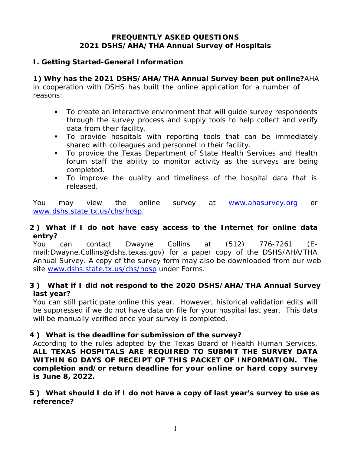### **FREQUENTLY ASKED QUESTIONS 2021 DSHS/AHA/THA Annual Survey of Hospitals**

### **I. Getting Started-General Information**

## **1) Why has the 2021 DSHS/AHA/THA Annual Survey been put online?**AHA

in cooperation with DSHS has built the online application for a number of reasons:

- To create an interactive environment that will guide survey respondents through the survey process and supply tools to help collect and verify data from their facility.
- To provide hospitals with reporting tools that can be immediately shared with colleagues and personnel in their facility.
- To provide the Texas Department of State Health Services and Health forum staff the ability to monitor activity as the surveys are being completed.
- To improve the quality and timeliness of the hospital data that is released.

You may view the online survey at www.ahasurvey.org or www.dshs.state.tx.us/chs/hosp.

### **2 ) What if I do not have easy access to the Internet for online data entry?**

site www.dshs.state.tx.us/chs/hosp under Forms. You can contact Dwayne Collins at (512) 776-7261 (Email:Dwayne.Collins@dshs.texas.gov) for a paper copy of the DSHS/AHA/THA Annual Survey. A copy of the survey form may also be downloaded from our web

## **3 ) What if I did not respond to the 2020 DSHS/AHA/THA Annual Survey last year?**

You can still participate online this year. However, historical validation edits will be suppressed if we do not have data on file for your hospital last year. This data will be manually verified once your survey is completed.

## **4 ) What is the deadline for submission of the survey?**

 **ALL TEXAS HOSPITALS ARE REQUIRED TO SUBMIT THE SURVEY DATA WITHIN 60 DAYS OF RECEIPT OF THIS PACKET OF INFORMATION. The** According to the rules adopted by the Texas Board of Health Human Services, **completion and/or return deadline for your online or hard copy survey is June 8, 2022.**

### **5 ) What should I do if I do not have a copy of last year's survey to use as reference?**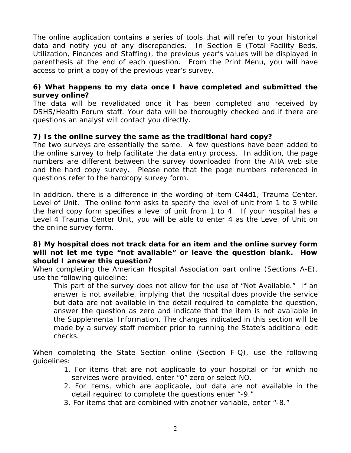The online application contains a series of tools that will refer to your historical data and notify you of any discrepancies. In Section E (Total Facility Beds, Utilization, Finances and Staffing), the previous year's values will be displayed in parenthesis at the end of each question. From the Print Menu, you will have access to print a copy of the previous year's survey.

### **6) What happens to my data once I have completed and submitted the survey online?**

The data will be revalidated once it has been completed and received by DSHS/Health Forum staff. Your data will be thoroughly checked and if there are questions an analyst will contact you directly.

### **7) Is the online survey the same as the traditional hard copy?**

The two surveys are essentially the same. A few questions have been added to the online survey to help facilitate the data entry process. In addition, the page numbers are different between the survey downloaded from the AHA web site and the hard copy survey. Please note that the page numbers referenced in questions refer to the hardcopy survey form.

In addition, there is a difference in the wording of item C44d1, Trauma Center, Level of Unit. The online form asks to specify the level of unit from 1 to 3 while the hard copy form specifies a level of unit from 1 to 4. If your hospital has a Level 4 Trauma Center Unit, you will be able to enter 4 as the Level of Unit on the online survey form.

#### **8) My hospital does not track data for an item and the online survey form will not let me type "not available" or leave the question blank. How should I answer this question?**

When completing the American Hospital Association part online (Sections A-E), use the following guideline:

This part of the survey does not allow for the use of "Not Available." If an answer is not available, implying that the hospital does provide the service but data are not available in the detail required to complete the question, answer the question as zero and indicate that the item is not available in the Supplemental Information. The changes indicated in this section will be made by a survey staff member prior to running the State's additional edit checks.

When completing the State Section online (Section F-Q), use the following guidelines: 1. For items that are not applicable to your hospital or for which no

- services were provided, enter "0" zero or select NO.
- 2. For items, which are applicable, but data are not available in the detail required to complete the questions enter "-9."
- 3. For items that are combined with another variable, enter "-8."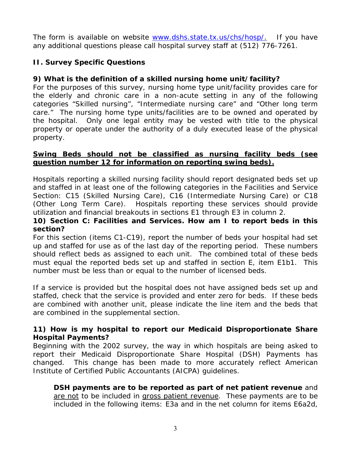The form is available on website www.dshs.state.tx.us/chs/hosp/. If you have any additional questions please call hospital survey staff at (512) 776-7261.

# **II. Survey Specific Questions**

# **9) What is the definition of a skilled nursing home unit/facility?**

For the purposes of this survey, nursing home type unit/facility provides care for the elderly and chronic care in a non-acute setting in any of the following categories "Skilled nursing", "Intermediate nursing care" and "Other long term care." The nursing home type units/facilities are to be owned and operated by the hospital. Only one legal entity may be vested with title to the physical property or operate under the authority of a duly executed lease of the physical property.

### **Swing Beds should not be classified as nursing facility beds (see question number 12 for information on reporting swing beds).**

 utilization and financial breakouts in sections E1 through E3 in column 2. Hospitals reporting a skilled nursing facility should report designated beds set up and staffed in at least one of the following categories in the Facilities and Service Section: C15 (Skilled Nursing Care), C16 (Intermediate Nursing Care) or C18 (Other Long Term Care). Hospitals reporting these services should provide

## **10) Section C: Facilities and Services. How am I to report beds in this section?**

For this section (items C1-C19), report the number of beds your hospital had set up and staffed for use as of the last day of the reporting period. These numbers should reflect beds as assigned to each unit. The combined total of these beds must equal the reported beds set up and staffed in section E, item E1b1. This number must be less than or equal to the number of licensed beds.

If a service is provided but the hospital does not have assigned beds set up and staffed, check that the service is provided and enter zero for beds. If these beds are combined with another unit, please indicate the line item and the beds that are combined in the supplemental section.

### **11) How is my hospital to report our Medicaid Disproportionate Share Hospital Payments?**

 Institute of Certified Public Accountants (AICPA) guidelines. Beginning with the 2002 survey, the way in which hospitals are being asked to report their Medicaid Disproportionate Share Hospital (DSH) Payments has changed. This change has been made to more accurately reflect American

**DSH payments are to be reported as part of net patient revenue** and are not to be included in gross patient revenue. These payments are to be included in the following items: E3a and in the net column for items E6a2d,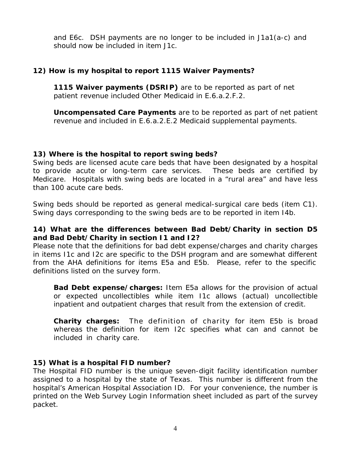and E6c. DSH payments are no longer to be included in J1a1(a-c) and should now be included in item J1c.

### **12) How is my hospital to report 1115 Waiver Payments?**

**1115 Waiver payments (DSRIP)** are to be reported as part of net patient revenue included Other Medicaid in E.6.a.2.F.2.

**Uncompensated Care Payments** are to be reported as part of net patient revenue and included in E.6.a.2.E.2 Medicaid supplemental payments.

#### **13) Where is the hospital to report swing beds?**

Swing beds are licensed acute care beds that have been designated by a hospital to provide acute or long-term care services. These beds are certified by Medicare. Hospitals with swing beds are located in a "rural area" and have less than 100 acute care beds.

Swing beds should be reported as general medical-surgical care beds (item C1). Swing days corresponding to the swing beds are to be reported in item I4b.

### **14) What are the differences between Bad Debt/Charity in section D5 and Bad Debt/Charity in section I1 and I2?**

Please note that the definitions for bad debt expense/charges and charity charges in items I1c and I2c are specific to the DSH program and are somewhat different from the AHA definitions for items E5a and E5b. Please, refer to the specific definitions listed on the survey form.

**Bad Debt expense/charges:** Item E5a allows for the provision of actual or expected uncollectibles while item I1c allows (actual) uncollectible inpatient and outpatient charges that result from the extension of credit.

**Charity charges:** The definition of charity for item E5b is broad whereas the definition for item I2c specifies what can and cannot be included in charity care.

### **15) What is a hospital FID number?**

The Hospital FID number is the unique seven-digit facility identification number assigned to a hospital by the state of Texas. This number is different from the hospital's American Hospital Association ID. For your convenience, the number is printed on the Web Survey Login Information sheet included as part of the survey packet.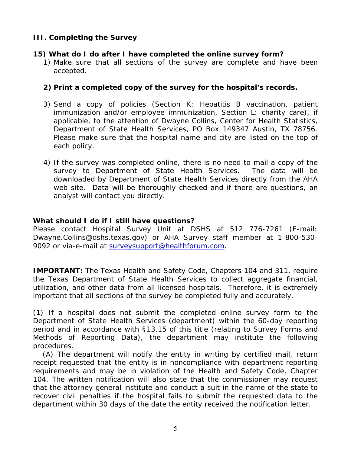## **III. Completing the Survey**

#### **15) What do I do after I have completed the online survey form?**

1) Make sure that all sections of the survey are complete and have been accepted.

#### **2) Print a completed copy of the survey for the hospital's records.**

- Department of State Health Services, PO Box 149347 Austin, TX 78756. 3) Send a copy of policies (Section K: Hepatitis B vaccination, patient immunization and/or employee immunization, Section L: charity care), if applicable, to the attention of Dwayne Collins, Center for Health Statistics, Please make sure that the hospital name and city are listed on the top of each policy.
- 4) If the survey was completed online, there is no need to mail a copy of the survey to Department of State Health Services. The data will be downloaded by Department of State Health Services directly from the AHA web site. Data will be thoroughly checked and if there are questions, an analyst will contact you directly.

#### **What should I do if I still have questions?**

Please contact Hospital Survey Unit at DSHS at 512 776-7261 (E-mail: Dwayne.Collins@dshs.texas.gov) or AHA Survey staff member at 1-800-530- 9092 or via-e-mail at surveysupport@healthforum.com.

**IMPORTANT:** The Texas Health and Safety Code, Chapters 104 and 311, require the Texas Department of State Health Services to collect aggregate financial, utilization, and other data from all licensed hospitals. Therefore, it is extremely important that all sections of the survey be completed fully and accurately.

(1) If a hospital does not submit the completed online survey form to the Department of State Health Services (department) within the 60-day reporting period and in accordance with §13.15 of this title (relating to Survey Forms and Methods of Reporting Data), the department may institute the following procedures.

(A) The department will notify the entity in writing by certified mail, return receipt requested that the entity is in noncompliance with department reporting requirements and may be in violation of the Health and Safety Code, Chapter 104. The written notification will also state that the commissioner may request that the attorney general institute and conduct a suit in the name of the state to recover civil penalties if the hospital fails to submit the requested data to the department within 30 days of the date the entity received the notification letter.